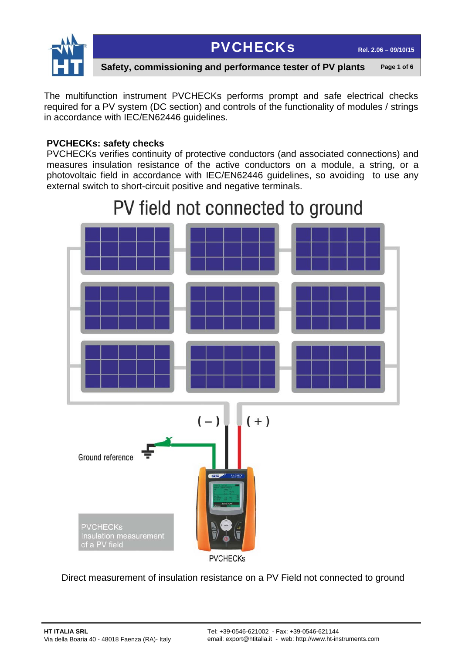

**Safety, commissioning and performance tester of PV plants** Page 1 of 6

The multifunction instrument PVCHECKs performs prompt and safe electrical checks required for a PV system (DC section) and controls of the functionality of modules / strings in accordance with IEC/EN62446 guidelines.

#### **PVCHECKs: safety checks**

PVCHECKs verifies continuity of protective conductors (and associated connections) and measures insulation resistance of the active conductors on a module, a string, or a photovoltaic field in accordance with IEC/EN62446 guidelines, so avoiding to use any external switch to short-circuit positive and negative terminals.



Direct measurement of insulation resistance on a PV Field not connected to ground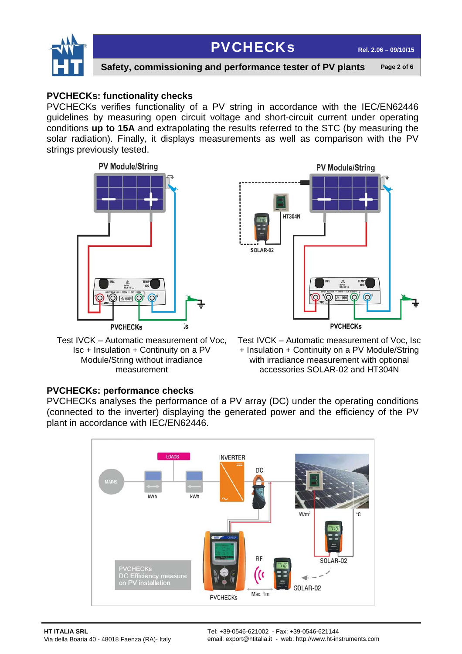



**Safety, commissioning and performance tester of PV plants** Page 2 of 6

#### **PVCHECKs: functionality checks**

PVCHECKs verifies functionality of a PV string in accordance with the IEC/EN62446 guidelines by measuring open circuit voltage and short-circuit current under operating conditions **up to 15A** and extrapolating the results referred to the STC (by measuring the solar radiation). Finally, it displays measurements as well as comparison with the PV strings previously tested.





Test IVCK – Automatic measurement of Voc, Isc + Insulation + Continuity on a PV Module/String without irradiance measurement

Test IVCK – Automatic measurement of Voc, Isc + Insulation + Continuity on a PV Module/String with irradiance measurement with optional accessories SOLAR-02 and HT304N

#### **PVCHECKs: performance checks**

PVCHECKs analyses the performance of a PV array (DC) under the operating conditions (connected to the inverter) displaying the generated power and the efficiency of the PV plant in accordance with IEC/EN62446.

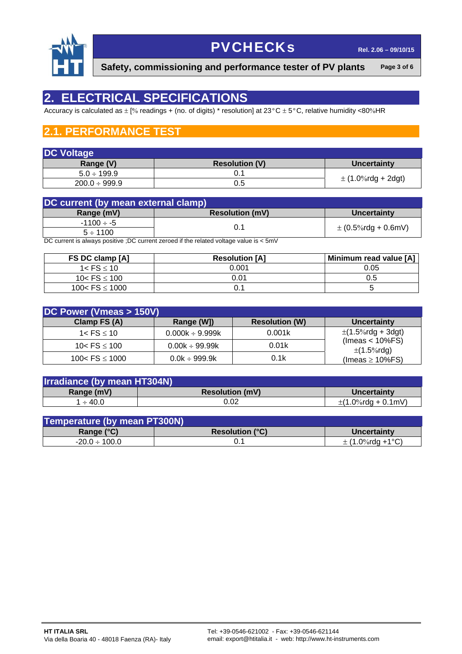

**Safety, commissioning and performance tester of PV plants** Page 3 of 6

### **2. ELECTRICAL SPECIFICATIONS**

Accuracy is calculated as  $\pm$  [% readings + (no. of digits) \* resolution] at 23°C  $\pm$  5°C, relative humidity <80%HR

### **2.1. PERFORMANCE TEST**

| <b>DC Voltage</b>  |                       |                        |
|--------------------|-----------------------|------------------------|
| Range (V)          | <b>Resolution (V)</b> | Uncertainty            |
| $5.0 \div 199.9$   |                       |                        |
| $200.0 \div 999.9$ | 0.5                   | $\pm$ (1.0%rdg + 2dgt) |

| DC current (by mean external clamp) |                        |                         |
|-------------------------------------|------------------------|-------------------------|
| Range (mV)                          | <b>Resolution (mV)</b> | Uncertainty             |
| $-1100 \div -5$                     |                        |                         |
| $5 \div 1100$                       | 0.1                    | $\pm$ (0.5%rdg + 0.6mV) |

DC current is always positive ;DC current zeroed if the related voltage value is < 5mV

| FS DC clamp [A]    | <b>Resolution [A]</b> | Minimum read value [A] |
|--------------------|-----------------------|------------------------|
| $1 <$ FS $<$ 10    | 0.001                 | 0.05                   |
| 10< $FS \le 100$   | 0.01                  | 0.5                    |
| 100< $FS \le 1000$ |                       |                        |

| DC Power (Vmeas > 150V) |                      |                       |                                       |
|-------------------------|----------------------|-----------------------|---------------------------------------|
| Clamp FS (A)            | Range (W])           | <b>Resolution (W)</b> | Uncertainty                           |
| 1< $\text{FS} \leq 10$  | $0.000k \div 9.999k$ | 0.001k                | $\pm$ (1.5%rdg + 3dgt)                |
| 10< $FS \le 100$        | $0.00k \div 99.99k$  | 0.01k                 | $($ lmeas < 10%FS)<br>$\pm$ (1.5%rdg) |
| 100< $FS \le 1000$      | $0.0k \div 999.9k$   | 0.1k                  | (Imeas $\geq$ 10%FS)                  |

| <b>Irradiance (by mean HT304N)</b> |                        |                         |
|------------------------------------|------------------------|-------------------------|
| Range (mV)                         | <b>Resolution (mV)</b> | Uncertainty             |
| $\div$ 40.0                        | 0.02                   | $\pm$ (1.0%rdg + 0.1mV) |

| Temperature (by mean PT300N) |                        |                      |
|------------------------------|------------------------|----------------------|
| Range $(°C)$                 | <b>Resolution (°C)</b> | Uncertainty          |
| $-20.0 \div 100.0$           |                        | $\pm$ (1.0%rdg +1°C) |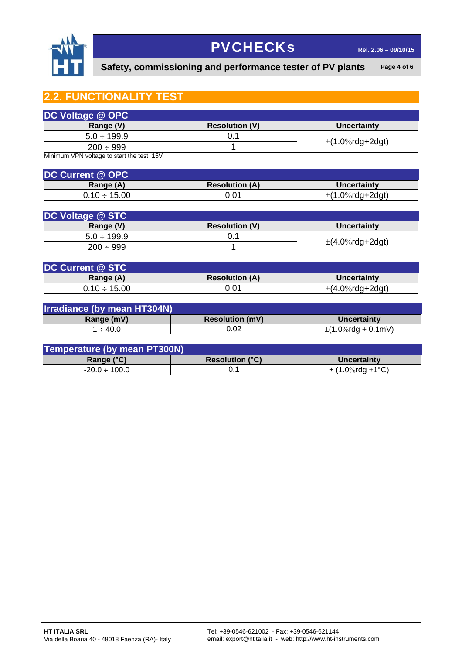

Safety, commissioning and performance tester of PV plants Page 4 of 6

### **2.2. FUNCTIONALITY TEST**

| DC Voltage @ OPC |                       |                      |
|------------------|-----------------------|----------------------|
| Range (V)        | <b>Resolution (V)</b> | <b>Uncertainty</b>   |
| $5.0 \div 199.9$ |                       |                      |
| $200 \div 999$   |                       | $\pm$ (1.0%rdg+2dgt) |

Minimum VPN voltage to start the test: 15V

| <b>DC Current @ OPC</b> |                       |                      |
|-------------------------|-----------------------|----------------------|
| Range (A)               | <b>Resolution (A)</b> | <b>Uncertainty</b>   |
| $0.10 \div 15.00$       | 0.01                  | $\pm$ (1.0%rdg+2dgt) |

| DC Voltage @ STC |                       |                      |
|------------------|-----------------------|----------------------|
| Range (V)        | <b>Resolution (V)</b> | Uncertainty          |
| $5.0 \div 199.9$ |                       |                      |
| $200 \div 999$   |                       | $\pm$ (4.0%rdg+2dgt) |

| <b>DC Current @ STC</b> |                       |                      |
|-------------------------|-----------------------|----------------------|
| Range (A)               | <b>Resolution (A)</b> | Uncertainty          |
| $0.10 \div 15.00$       | 0.01                  | $\pm$ (4.0%rdg+2dgt) |

| <b>Irradiance (by mean HT304N)</b> |                        |                         |
|------------------------------------|------------------------|-------------------------|
| Range (mV)                         | <b>Resolution (mV)</b> | Uncertainty             |
| $\div$ 40.0                        | 0.02                   | $\pm$ (1.0%rdg + 0.1mV) |

| Temperature (by mean PT300N) |                                            |                      |
|------------------------------|--------------------------------------------|----------------------|
| Range $(°C)$                 | <b>Resolution <math>(^{\circ}C)</math></b> | Uncertainty          |
| $-20.0 \div 100.0$           |                                            | $\pm$ (1.0%rda +1°C) |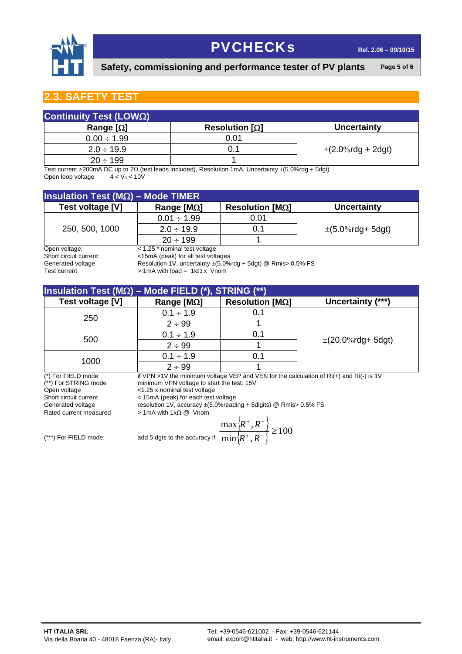

Safety, commissioning and performance tester of PV plants Page 5 of 6

#### **2.3. SAFETY TEST**

| Continuity Test (LOWΩ) |                     |                        |  |  |  |
|------------------------|---------------------|------------------------|--|--|--|
| Range $[\Omega]$       | Resolution $\Omega$ | <b>Uncertainty</b>     |  |  |  |
| $0.00 \div 1.99$       | 0.01                |                        |  |  |  |
| $2.0 \div 19.9$        | 0.1                 | $\pm$ (2.0%rdg + 2dgt) |  |  |  |
| $20 \div 199$          |                     |                        |  |  |  |

Test current >200mA DC up to 2 $\Omega$  (test leads included), Resolution 1mA, Uncertainty  $\pm (5.0\% \text{rdg} + 5\text{dgt})$ <br>Open loop voltage  $4 < V_0 < 10V$ Open loop voltage

| <b>Insulation Test (M<math>\Omega</math>) – Mode TIMER</b> |                                   |                        |                      |  |  |
|------------------------------------------------------------|-----------------------------------|------------------------|----------------------|--|--|
| Test voltage [V]                                           | Range [ $M$ 2]                    | Resolution $[M\Omega]$ | <b>Uncertainty</b>   |  |  |
|                                                            | $0.01 \div 1.99$                  | 0.01                   |                      |  |  |
| 250, 500, 1000                                             | $2.0 \div 19.9$                   | 0.1                    | $\pm$ (5.0%rdg+5dgt) |  |  |
|                                                            | $20 \div 199$                     |                        |                      |  |  |
| Open voltage:                                              | $<$ 1.25 $*$ nominal test voltage |                        |                      |  |  |

Short circuit current: <15mA (peak) for all test voltages

Generated voltage Resolution 1V, uncertainty  $\pm$  (5.0%rdg + 5dgt) @ Rmis> 0.5% FS<br>Test current  $\Rightarrow$  1mA with load = 1kΩ x Vnom

 $> 1$ mA with load = 1k $\Omega$  x Vnom

| Insulation Test (M $\Omega$ ) – Mode FIELD (*), STRING (**) |                     |                        |                        |  |  |
|-------------------------------------------------------------|---------------------|------------------------|------------------------|--|--|
| Test voltage [V]                                            | Range [ $M\Omega$ ] | Resolution $[M\Omega]$ | Uncertainty (***)      |  |  |
| 250                                                         | $0.1 \div 1.9$      | 0.1                    |                        |  |  |
|                                                             | $2 \div 99$         |                        |                        |  |  |
| 500                                                         | $0.1 \div 1.9$      | 0.1                    |                        |  |  |
|                                                             | $2 \div 99$         |                        | $\pm$ (20.0%rdg+ 5dgt) |  |  |
| 1000                                                        | $0.1 \div 1.9$      | 0.1                    |                        |  |  |
|                                                             | $2 \div 99$         |                        |                        |  |  |

(\*) For FIELD mode if VPN >1V the minimum voltage VEP and VEN for the calculation of Ri(+) and Ri(-) is 1V  $(*)$  For STRING mode minimum VPN voltage to start the test: 15V (\*\*) For STRING mode minimum VPN voltage to start the test:  $15V$ <br>Open voltage  $\leq 1.25$  x nominal test voltage Open voltage  $\leftarrow$  1.25 x nominal test voltage<br>
Short circuit current  $\leftarrow$  15mA (peak) for each test

< 15mA (peak) for each test voltage

Generated voltage resolution 1V, accuracy  $\pm$  (5.0%reading + 5digits) @ Rmis> 0.5% FS<br>Rated current measured > 1mA with 1kΩ @ Vnom

 $> 1$ mA with 1k $\Omega$  @ Vnom

$$
\frac{\max\left\{R^+, R^-\right\}}{\min\left\{R^+, R^-\right\}} \ge 100
$$

 $(**)$  For FIELD mode:  $add 5$  dgts to the accuracy if